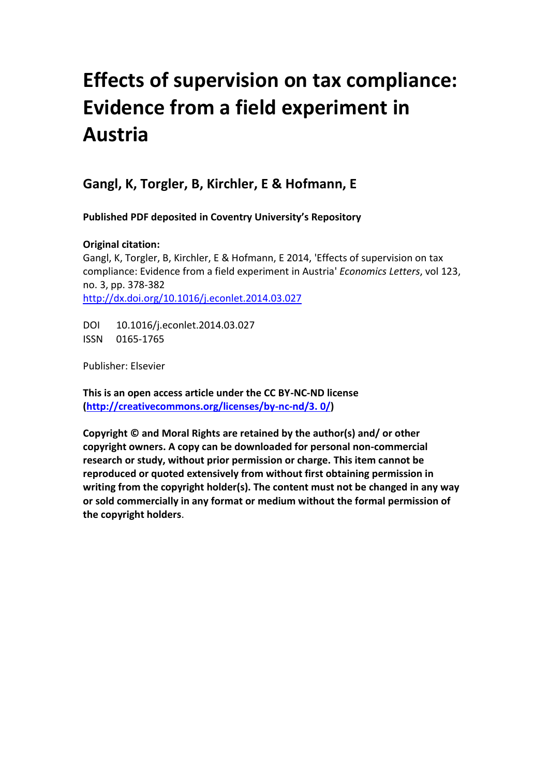# **Effects of supervision on tax compliance: Evidence from a field experiment in Austria**

## **Gangl, K, Torgler, B, Kirchler, E & Hofmann, E**

**Published PDF deposited in Coventry University's Repository**

### **Original citation:**

Gangl, K, Torgler, B, Kirchler, E & Hofmann, E 2014, 'Effects of supervision on tax compliance: Evidence from a field experiment in Austria' *Economics Letters*, vol 123, no. 3, pp. 378-382 <http://dx.doi.org/10.1016/j.econlet.2014.03.027>

DOI 10.1016/j.econlet.2014.03.027 ISSN 0165-1765

Publisher: Elsevier

**This is an open access article under the CC BY-NC-ND license [\(http://creativecommons.org/licenses/by-nc-nd/3. 0/\)](http://creativecommons.org/licenses/by-nc-nd/3.%200/)**

**Copyright © and Moral Rights are retained by the author(s) and/ or other copyright owners. A copy can be downloaded for personal non-commercial research or study, without prior permission or charge. This item cannot be reproduced or quoted extensively from without first obtaining permission in writing from the copyright holder(s). The content must not be changed in any way or sold commercially in any format or medium without the formal permission of the copyright holders**.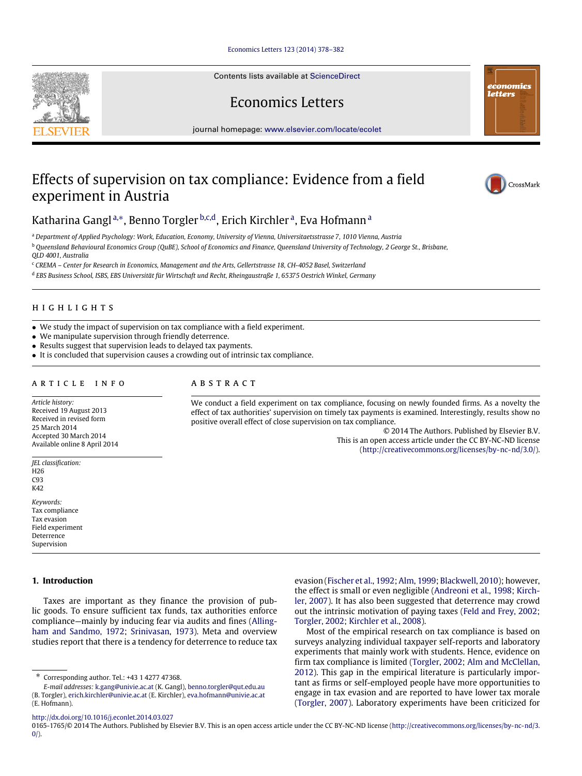[Economics Letters 123 \(2014\) 378–382](http://dx.doi.org/10.1016/j.econlet.2014.03.027)

Contents lists available at [ScienceDirect](http://www.elsevier.com/locate/ecolet)

Economics Letters

journal homepage: [www.elsevier.com/locate/ecolet](http://www.elsevier.com/locate/ecolet)

## Effects of supervision on tax compliance: Evidence from a field experiment in Austria



<span id="page-1-0"></span><sup>a</sup> *Department of Applied Psychology: Work, Education, Economy, University of Vienna, Universitaetsstrasse 7, 1010 Vienna, Austria*

<span id="page-1-2"></span><sup>b</sup> *Queensland Behavioural Economics Group (QuBE), School of Economics and Finance, Queensland University of Technology, 2 George St., Brisbane,*

*QLD 4001, Australia*

<span id="page-1-3"></span><sup>c</sup> *CREMA – Center for Research in Economics, Management and the Arts, Gellertstrasse 18, CH-4052 Basel, Switzerland*

<span id="page-1-4"></span>d *EBS Business School, ISBS, EBS Universität für Wirtschaft und Recht, Rheingaustraße 1, 65375 Oestrich Winkel, Germany*

#### h i g h l i g h t s

- We study the impact of supervision on tax compliance with a field experiment.
- We manipulate supervision through friendly deterrence.
- Results suggest that supervision leads to delayed tax payments.
- It is concluded that supervision causes a crowding out of intrinsic tax compliance.

#### ARTICLE INFO

A B S T R A C T

*Article history:* Received 19 August 2013 Received in revised form 25 March 2014 Accepted 30 March 2014 Available online 8 April 2014

*JEL classification:* H26 C93  $K42$ 

*Keywords:* Tax compliance Tax evasion Field experiment Deterrence Supervision

#### **1. Introduction**

Taxes are important as they finance the provision of public goods. To ensure sufficient tax funds, tax authorities enforce [c](#page-4-0)ompliance—mainly by inducing fear via audits and fines [\(Alling](#page-4-0)[ham](#page-4-0) [and](#page-4-0) [Sandmo,](#page-4-0) [1972;](#page-4-0) [Srinivasan,](#page-5-0) [1973\)](#page-5-0). Meta and overview studies report that there is a tendency for deterrence to reduce tax

We conduct a field experiment on tax compliance, focusing on newly founded firms. As a novelty the effect of tax authorities' supervision on timely tax payments is examined. Interestingly, results show no positive overall effect of close supervision on tax compliance.

© 2014 The Authors. Published by Elsevier B.V. This is an open access article under the CC BY-NC-ND license [\(http://creativecommons.org/licenses/by-nc-nd/3.0/\)](http://creativecommons.org/licenses/by-nc-nd/3.0/).

evasion [\(Fischer](#page-5-1) [et al.,](#page-5-1) [1992;](#page-5-1) [Alm,](#page-4-1) [1999;](#page-4-1) [Blackwell,](#page-4-2) [2010\)](#page-4-2); however, [t](#page-5-2)he effect is small or even negligible [\(Andreoni](#page-4-3) [et al.,](#page-4-3) [1998;](#page-4-3) [Kirch](#page-5-2)[ler,](#page-5-2) [2007\)](#page-5-2). It has also been suggested that deterrence may crowd out the intrinsic motivation of paying taxes [\(Feld](#page-5-3) [and](#page-5-3) [Frey,](#page-5-3) [2002;](#page-5-3) [Torgler,](#page-5-4) [2002;](#page-5-4) [Kirchler](#page-5-5) [et al.,](#page-5-5) [2008\)](#page-5-5).

Most of the empirical research on tax compliance is based on surveys analyzing individual taxpayer self-reports and laboratory experiments that mainly work with students. Hence, evidence on firm tax compliance is limited [\(Torgler,](#page-5-4) [2002;](#page-5-4) [Alm](#page-4-4) [and](#page-4-4) [McClellan,](#page-4-4) [2012\)](#page-4-4). This gap in the empirical literature is particularly important as firms or self-employed people have more opportunities to engage in tax evasion and are reported to have lower tax morale [\(Torgler,](#page-5-6) [2007\)](#page-5-6). Laboratory experiments have been criticized for

<http://dx.doi.org/10.1016/j.econlet.2014.03.027>





CrossMark

<span id="page-1-1"></span>Corresponding author. Tel.: +43 1 4277 47368.

*E-mail addresses:* [k.gang@univie.ac.at](mailto:k.gang@univie.ac.at) (K. Gangl), [benno.torgler@qut.edu.au](mailto:benno.torgler@qut.edu.au) (B. Torgler), [erich.kirchler@univie.ac.at](mailto:erich.kirchler@univie.ac.at) (E. Kirchler), [eva.hofmann@univie.ac.at](mailto:eva.hofmann@univie.ac.at) (E. Hofmann).

<sup>0165-1765/</sup>© 2014 The Authors. Published by Elsevier B.V. This is an open access article under the CC BY-NC-ND license [\(http://creativecommons.org/licenses/by-nc-nd/3.](http://creativecommons.org/licenses/by-nc-nd/3.0/)  $0/$ ).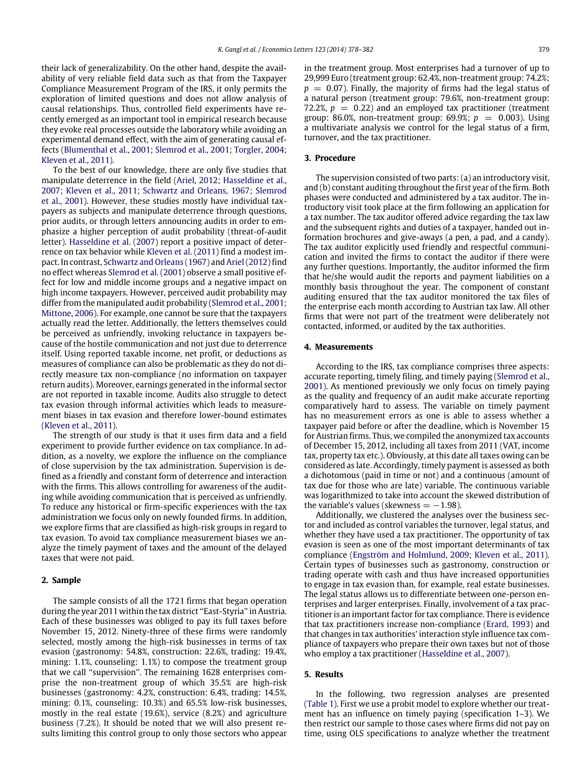their lack of generalizability. On the other hand, despite the availability of very reliable field data such as that from the Taxpayer Compliance Measurement Program of the IRS, it only permits the exploration of limited questions and does not allow analysis of causal relationships. Thus, controlled field experiments have recently emerged as an important tool in empirical research because they evoke real processes outside the laboratory while avoiding an experimental demand effect, with the aim of generating causal effects [\(Blumenthal](#page-4-5) [et al.,](#page-4-5) [2001;](#page-4-5) [Slemrod](#page-5-7) [et al.,](#page-5-7) [2001;](#page-5-7) [Torgler,](#page-5-8) [2004;](#page-5-8) [Kleven](#page-5-9) [et al.,](#page-5-9) [2011\)](#page-5-9).

To the best of our knowledge, there are only five studies that manipulate deterrence in the field [\(Ariel,](#page-4-6) [2012;](#page-4-6) [Hasseldine](#page-5-10) [et al.,](#page-5-10) [2007;](#page-5-10) [Kleven](#page-5-9) [et al.,](#page-5-9) [2011;](#page-5-9) [Schwartz](#page-5-11) [and](#page-5-11) [Orleans,](#page-5-11) [1967;](#page-5-11) [Slemrod](#page-5-7) [et al.,](#page-5-7) [2001\)](#page-5-7). However, these studies mostly have individual taxpayers as subjects and manipulate deterrence through questions, prior audits, or through letters announcing audits in order to emphasize a higher perception of audit probability (threat-of-audit letter). [Hasseldine](#page-5-10) [et al.](#page-5-10) [\(2007\)](#page-5-10) report a positive impact of deterrence on tax behavior while [Kleven](#page-5-9) [et al.](#page-5-9) [\(2011\)](#page-5-9) find a modest impact. In contrast, [Schwartz](#page-5-11) [and](#page-5-11) [Orleans](#page-5-11) [\(1967\)](#page-5-11) and [Ariel\(2012\)](#page-4-6) find no effect whereas [Slemrod](#page-5-7) [et al.](#page-5-7) [\(2001\)](#page-5-7) observe a small positive effect for low and middle income groups and a negative impact on high income taxpayers. However, perceived audit probability may differ from the manipulated audit probability [\(Slemrod](#page-5-7) [et al.,](#page-5-7) [2001;](#page-5-7) [Mittone,](#page-5-12) [2006\)](#page-5-12). For example, one cannot be sure that the taxpayers actually read the letter. Additionally, the letters themselves could be perceived as unfriendly, invoking reluctance in taxpayers because of the hostile communication and not just due to deterrence itself. Using reported taxable income, net profit, or deductions as measures of compliance can also be problematic as they do not directly measure tax non-compliance (no information on taxpayer return audits). Moreover, earnings generated in the informal sector are not reported in taxable income. Audits also struggle to detect tax evasion through informal activities which leads to measurement biases in tax evasion and therefore lower-bound estimates [\(Kleven](#page-5-9) [et al.,](#page-5-9) [2011\)](#page-5-9).

The strength of our study is that it uses firm data and a field experiment to provide further evidence on tax compliance. In addition, as a novelty, we explore the influence on the compliance of close supervision by the tax administration. Supervision is defined as a friendly and constant form of deterrence and interaction with the firms. This allows controlling for awareness of the auditing while avoiding communication that is perceived as unfriendly. To reduce any historical or firm-specific experiences with the tax administration we focus only on newly founded firms. In addition, we explore firms that are classified as high-risk groups in regard to tax evasion. To avoid tax compliance measurement biases we analyze the timely payment of taxes and the amount of the delayed taxes that were not paid.

#### **2. Sample**

The sample consists of all the 1721 firms that began operation during the year 2011 within the tax district ''East-Styria'' in Austria. Each of these businesses was obliged to pay its full taxes before November 15, 2012. Ninety-three of these firms were randomly selected, mostly among the high-risk businesses in terms of tax evasion (gastronomy: 54.8%, construction: 22.6%, trading: 19.4%, mining: 1.1%, counseling: 1.1%) to compose the treatment group that we call ''supervision''. The remaining 1628 enterprises comprise the non-treatment group of which 35.5% are high-risk businesses (gastronomy: 4.2%, construction: 6.4%, trading: 14.5%, mining: 0.1%, counseling: 10.3%) and 65.5% low-risk businesses, mostly in the real estate (19.6%), service (8.2%) and agriculture business (7.2%). It should be noted that we will also present results limiting this control group to only those sectors who appear in the treatment group. Most enterprises had a turnover of up to 29,999 Euro (treatment group: 62.4%, non-treatment group: 74.2%;  $p = 0.07$ ). Finally, the majority of firms had the legal status of a natural person (treatment group: 79.6%, non-treatment group: 72.2%,  $p = 0.22$ ) and an employed tax practitioner (treatment group: 86.0%, non-treatment group: 69.9%;  $p = 0.003$ ). Using a multivariate analysis we control for the legal status of a firm, turnover, and the tax practitioner.

#### **3. Procedure**

The supervision consisted of two parts: (a) an introductory visit, and (b) constant auditing throughout the first year of the firm. Both phases were conducted and administered by a tax auditor. The introductory visit took place at the firm following an application for a tax number. The tax auditor offered advice regarding the tax law and the subsequent rights and duties of a taxpayer, handed out information brochures and give-aways (a pen, a pad, and a candy). The tax auditor explicitly used friendly and respectful communication and invited the firms to contact the auditor if there were any further questions. Importantly, the auditor informed the firm that he/she would audit the reports and payment liabilities on a monthly basis throughout the year. The component of constant auditing ensured that the tax auditor monitored the tax files of the enterprise each month according to Austrian tax law. All other firms that were not part of the treatment were deliberately not contacted, informed, or audited by the tax authorities.

#### **4. Measurements**

According to the IRS, tax compliance comprises three aspects: accurate reporting, timely filing, and timely paying [\(Slemrod](#page-5-7) [et al.,](#page-5-7) [2001\)](#page-5-7). As mentioned previously we only focus on timely paying as the quality and frequency of an audit make accurate reporting comparatively hard to assess. The variable on timely payment has no measurement errors as one is able to assess whether a taxpayer paid before or after the deadline, which is November 15 for Austrian firms. Thus, we compiled the anonymized tax accounts of December 15, 2012, including all taxes from 2011 (VAT, income tax, property tax etc.). Obviously, at this date all taxes owing can be considered as late. Accordingly, timely payment is assessed as both a dichotomous (paid in time or not) and a continuous (amount of tax due for those who are late) variable. The continuous variable was logarithmized to take into account the skewed distribution of the variable's values (skewness  $= -1.98$ ).

Additionally, we clustered the analyses over the business sector and included as control variables the turnover, legal status, and whether they have used a tax practitioner. The opportunity of tax evasion is seen as one of the most important determinants of tax compliance [\(Engström](#page-5-13) [and](#page-5-13) [Holmlund,](#page-5-13) [2009;](#page-5-13) [Kleven](#page-5-9) [et al.,](#page-5-9) [2011\)](#page-5-9). Certain types of businesses such as gastronomy, construction or trading operate with cash and thus have increased opportunities to engage in tax evasion than, for example, real estate businesses. The legal status allows us to differentiate between one-person enterprises and larger enterprises. Finally, involvement of a tax practitioner is an important factor for tax compliance. There is evidence that tax practitioners increase non-compliance [\(Erard,](#page-5-14) [1993\)](#page-5-14) and that changes in tax authorities' interaction style influence tax compliance of taxpayers who prepare their own taxes but not of those who employ a tax practitioner [\(Hasseldine](#page-5-10) [et al.,](#page-5-10) [2007\)](#page-5-10).

#### **5. Results**

In the following, two regression analyses are presented [\(Table 1\)](#page-3-0). First we use a probit model to explore whether our treatment has an influence on timely paying (specification 1–3). We then restrict our sample to those cases where firms did not pay on time, using OLS specifications to analyze whether the treatment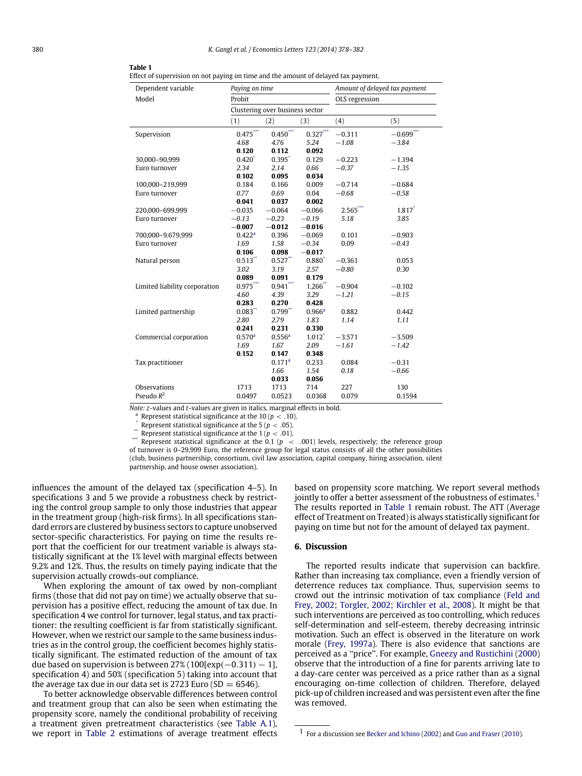#### <span id="page-3-0"></span>**Table 1**

Effect of supervision on not paying on time and the amount of delayed tax payment.

| Dependent variable            | Paying on time                  |                      |                      | Amount of delayed tax payment |                      |  |
|-------------------------------|---------------------------------|----------------------|----------------------|-------------------------------|----------------------|--|
| Model                         | Probit                          |                      |                      | OLS regression                |                      |  |
|                               | Clustering over business sector |                      |                      |                               |                      |  |
|                               | (1)                             | (2)                  | (3)                  | (4)                           | (5)                  |  |
| Supervision                   | $0.475***$                      | $0.450***$           | $0.327***$           | $-0.311$                      | $-0.699***$          |  |
|                               | 4.68                            | 4.76                 | 5.24                 | $-1.08$                       | $-3.84$              |  |
|                               | 0.120                           | 0.112                | 0.092                |                               |                      |  |
| 30,000-90,999                 | $0.420^{*}$                     | $0.395$ <sup>*</sup> | 0.129                | $-0.223$                      | $-1.194$             |  |
| Euro turnover                 | 2.34                            | 2.14                 | 0.66                 | $-0.37$                       | $-1.35$              |  |
|                               | 0.102                           | 0.095                | 0.034                |                               |                      |  |
| 100,000-219,999               | 0.184                           | 0.166                | 0.009                | $-0.714$                      | $-0.684$             |  |
| Euro turnover                 | 0.77                            | 0.69                 | 0.04                 | $-0.68$                       | $-0.58$              |  |
|                               | 0.041                           | 0.037                | 0.002                |                               |                      |  |
| 220,000-699,999               | $-0.035$                        | $-0.064$             | $-0.066$             | $2.565***$                    | $1.817$ <sup>*</sup> |  |
| Euro turnover                 | $-0.13$                         | $-0.23$              | $-0.19$              | 5.18                          | 3.85                 |  |
|                               | $-0.007$                        | $-0.012$             | $-0.016$             |                               |                      |  |
| 700,000-9.679,999             | 0.422 <sup>a</sup>              | 0.396                | $-0.069$             | 0.101                         | $-0.903$             |  |
| Euro turnover                 | 1.69                            | 1.58                 | $-0.34$              | 0.09                          | $-0.43$              |  |
|                               | 0.106                           | 0.098                | $-0.017$             |                               |                      |  |
| Natural person                | $0.513$ **                      | $0.527$ **           | $0.880^{*}$          | $-0.361$                      | 0.053                |  |
|                               | 3.02                            | 3.19                 | 2.57                 | $-0.80$                       | 0.30                 |  |
|                               | 0.089                           | 0.091                | 0.179                |                               |                      |  |
| Limited liability corporation | $0.975***$                      | $0.941***$           | $1.266$ **           | $-0.904$                      | $-0.102$             |  |
|                               | 4.60                            | 4.39                 | 3.29                 | $-1.21$                       | $-0.15$              |  |
|                               | 0.283                           | 0.270                | 0.428                |                               |                      |  |
| Limited partnership           | 0.083"                          | $0.799$ **           | 0.966 <sup>a</sup>   | 0.882                         | 0.442                |  |
|                               | 2.80                            | 2.79                 | 1.83                 | 1.14                          | 1.11                 |  |
|                               | 0.241                           | 0.231                | 0.330                |                               |                      |  |
| Commercial corporation        | 0.570 <sup>a</sup>              | 0.556 <sup>a</sup>   | $1.012$ <sup>*</sup> | $-3.571$                      | $-3.509$             |  |
|                               | 1.69                            | 1.67                 | 2.09                 | $-1.61$                       | $-1.42$              |  |
|                               | 0.152                           | 0.147                | 0.348                |                               |                      |  |
| Tax practitioner              |                                 | 0.171 <sup>a</sup>   | 0.233                | 0.084                         | $-0.31$              |  |
|                               |                                 | 1.66                 | 1.54                 | 0.18                          | $-0.66$              |  |
|                               |                                 | 0.033                | 0.056                |                               |                      |  |
| Observations                  | 1713                            | 1713                 | 714                  | 227                           | 130                  |  |
| Pseudo $R^2$                  | 0.0497                          | 0.0523               | 0.0368               | 0.079                         | 0.1594               |  |

*Note: z*-values and *t*-values are given in italics, marginal effects in bold.

<span id="page-3-3"></span><sup>a</sup> Represent statistical significance at the 10 ( $p < .10$ ).

<span id="page-3-2"></span>Represent statistical significance at the 5 ( $p < .05$ ).

<span id="page-3-4"></span>\*\*\* Represent statistical significance at the  $1 (p < .01)$ .

<span id="page-3-1"></span>Represent statistical significance at the 0.1 ( $p < .001$ ) levels, respectively; the reference group of turnover is 0–29,999 Euro, the reference group for legal status consists of all the other possibilities (club, business partnership, consortium, civil law association, capital company, hiring association, silent partnership, and house owner association).

influences the amount of the delayed tax (specification 4–5). In specifications 3 and 5 we provide a robustness check by restricting the control group sample to only those industries that appear in the treatment group (high-risk firms). In all specifications standard errors are clustered by business sectors to capture unobserved sector-specific characteristics. For paying on time the results report that the coefficient for our treatment variable is always statistically significant at the 1% level with marginal effects between 9.2% and 12%. Thus, the results on timely paying indicate that the supervision actually crowds-out compliance.

When exploring the amount of tax owed by non-compliant firms (those that did not pay on time) we actually observe that supervision has a positive effect, reducing the amount of tax due. In specification 4 we control for turnover, legal status, and tax practitioner: the resulting coefficient is far from statistically significant. However, when we restrict our sample to the same business industries as in the control group, the coefficient becomes highly statistically significant. The estimated reduction of the amount of tax due based on supervision is between  $27\%$  (100[exp( $-0.311$ )  $-1$ ], specification 4) and 50% (specification 5) taking into account that the average tax due in our data set is 2723 Euro (SD  $= 6546$ ).

To better acknowledge observable differences between control and treatment group that can also be seen when estimating the propensity score, namely the conditional probability of receiving a treatment given pretreatment characteristics (see [Table A.1\)](#page-4-7), we report in [Table 2](#page-4-8) estimations of average treatment effects based on propensity score matching. We report several methods jointly to offer a better assessment of the robustness of estimates.<sup>[1](#page-3-5)</sup> The results reported in [Table 1](#page-3-0) remain robust. The ATT (Average effect of Treatment on Treated) is always statistically significant for paying on time but not for the amount of delayed tax payment.

#### **6. Discussion**

The reported results indicate that supervision can backfire. Rather than increasing tax compliance, even a friendly version of deterrence reduces tax compliance. Thus, supervision seems to crowd out the intrinsic motivation of tax compliance [\(Feld](#page-5-3) [and](#page-5-3) [Frey,](#page-5-3) [2002;](#page-5-3) [Torgler,](#page-5-4) [2002;](#page-5-4) [Kirchler](#page-5-5) [et al.,](#page-5-5) [2008\)](#page-5-5). It might be that such interventions are perceived as too controlling, which reduces self-determination and self-esteem, thereby decreasing intrinsic motivation. Such an effect is observed in the literature on work morale [\(Frey,](#page-5-15) [1997a\)](#page-5-15). There is also evidence that sanctions are perceived as a ''price''. For example, [Gneezy](#page-5-16) [and](#page-5-16) [Rustichini](#page-5-16) [\(2000\)](#page-5-16) observe that the introduction of a fine for parents arriving late to a day-care center was perceived as a price rather than as a signal encouraging on-time collection of children. Therefore, delayed pick-up of children increased and was persistent even after the fine was removed.

<span id="page-3-5"></span><sup>1</sup> For a discussion see [Becker](#page-4-9) [and](#page-4-9) [Ichino](#page-4-9) [\(2002\)](#page-4-9) and [Guo](#page-5-17) [and](#page-5-17) [Fraser](#page-5-17) [\(2010\)](#page-5-17).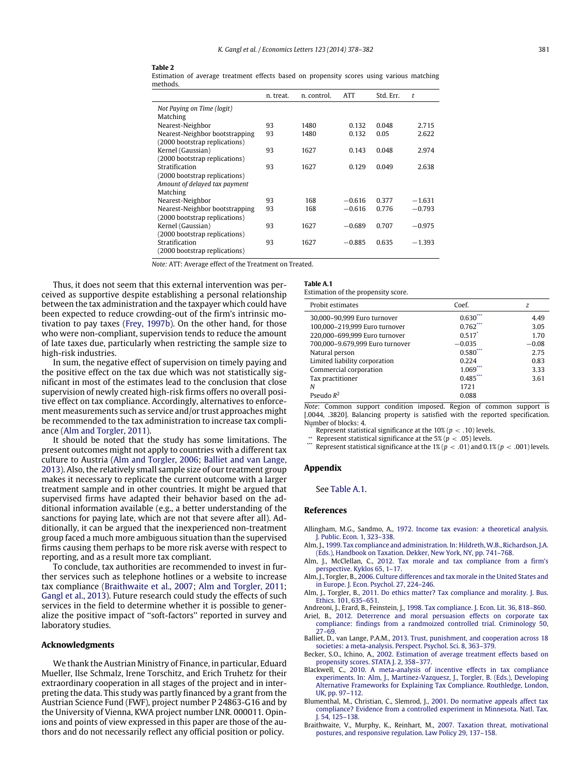<span id="page-4-8"></span>

Estimation of average treatment effects based on propensity scores using various matching methods.

|                                | n. treat. | n. control. | <b>ATT</b> | Std. Err. | t        |
|--------------------------------|-----------|-------------|------------|-----------|----------|
| Not Paying on Time (logit)     |           |             |            |           |          |
| Matching                       |           |             |            |           |          |
| Nearest-Neighbor               | 93        | 1480        | 0.132      | 0.048     | 2.715    |
| Nearest-Neighbor bootstrapping | 93        | 1480        | 0.132      | 0.05      | 2.622    |
| (2000 bootstrap replications)  |           |             |            |           |          |
| Kernel (Gaussian)              | 93        | 1627        | 0.143      | 0.048     | 2.974    |
| (2000 bootstrap replications)  |           |             |            |           |          |
| Stratification                 | 93        | 1627        | 0.129      | 0.049     | 2.638    |
| (2000 bootstrap replications)  |           |             |            |           |          |
| Amount of delayed tax payment  |           |             |            |           |          |
| Matching                       |           |             |            |           |          |
| Nearest-Neighbor               | 93        | 168         | $-0.616$   | 0.377     | $-1.631$ |
| Nearest-Neighbor bootstrapping | 93        | 168         | $-0.616$   | 0.776     | $-0.793$ |
| (2000 bootstrap replications)  |           |             |            |           |          |
| Kernel (Gaussian)              | 93        | 1627        | $-0.689$   | 0.707     | $-0.975$ |
| (2000 bootstrap replications)  |           |             |            |           |          |
| Stratification                 | 93        | 1627        | $-0.885$   | 0.635     | $-1.393$ |
| (2000 bootstrap replications)  |           |             |            |           |          |

*Note:* ATT: Average effect of the Treatment on Treated.

Thus, it does not seem that this external intervention was perceived as supportive despite establishing a personal relationship between the tax administration and the taxpayer which could have been expected to reduce crowding-out of the firm's intrinsic motivation to pay taxes [\(Frey,](#page-5-18) [1997b\)](#page-5-18). On the other hand, for those who were non-compliant, supervision tends to reduce the amount of late taxes due, particularly when restricting the sample size to high-risk industries.

In sum, the negative effect of supervision on timely paying and the positive effect on the tax due which was not statistically significant in most of the estimates lead to the conclusion that close supervision of newly created high-risk firms offers no overall positive effect on tax compliance. Accordingly, alternatives to enforcement measurements such as service and/or trust approaches might be recommended to the tax administration to increase tax compliance [\(Alm](#page-4-10) [and](#page-4-10) [Torgler,](#page-4-10) [2011\)](#page-4-10).

It should be noted that the study has some limitations. The present outcomes might not apply to countries with a different tax culture to Austria [\(Alm](#page-4-11) [and](#page-4-11) [Torgler,](#page-4-11) [2006;](#page-4-11) [Balliet](#page-4-12) [and](#page-4-12) [van](#page-4-12) [Lange,](#page-4-12) [2013\)](#page-4-12). Also, the relatively small sample size of our treatment group makes it necessary to replicate the current outcome with a larger treatment sample and in other countries. It might be argued that supervised firms have adapted their behavior based on the additional information available (e.g., a better understanding of the sanctions for paying late, which are not that severe after all). Additionally, it can be argued that the inexperienced non-treatment group faced a much more ambiguous situation than the supervised firms causing them perhaps to be more risk averse with respect to reporting, and as a result more tax compliant.

To conclude, tax authorities are recommended to invest in further services such as telephone hotlines or a website to increase tax compliance [\(Braithwaite](#page-4-13) [et al.,](#page-4-13) [2007;](#page-4-13) [Alm](#page-4-10) [and](#page-4-10) [Torgler,](#page-4-10) [2011;](#page-4-10) [Gangl](#page-5-19) [et al.,](#page-5-19) [2013\)](#page-5-19). Future research could study the effects of such services in the field to determine whether it is possible to generalize the positive impact of ''soft-factors'' reported in survey and laboratory studies.

#### **Acknowledgments**

We thank the Austrian Ministry of Finance, in particular, Eduard Mueller, Ilse Schmalz, Irene Torschitz, and Erich Truhetz for their extraordinary cooperation in all stages of the project and in interpreting the data. This study was partly financed by a grant from the Austrian Science Fund (FWF), project number P 24863-G16 and by the University of Vienna, KWA project number LNR. 000011. Opinions and points of view expressed in this paper are those of the authors and do not necessarily reflect any official position or policy.

<span id="page-4-7"></span>

| Table A.1                           |  |  |
|-------------------------------------|--|--|
| Estimation of the propensity score. |  |  |

| Probit estimates                | Coef.       | z       |
|---------------------------------|-------------|---------|
| 30,000-90,999 Euro turnover     | 0.630       | 4.49    |
| 100,000-219,999 Euro turnover   | 0.762       | 3.05    |
| 220,000-699,999 Euro turnover   | 0.517       | 1.70    |
| 700,000-9.679,999 Euro turnover | $-0.035$    | $-0.08$ |
| Natural person                  | $0.580^{*}$ | 2.75    |
| Limited liability corporation   | 0.224       | 0.83    |
| Commercial corporation          | 1.069       | 3.33    |
| Tax practitioner                | 0.485       | 3.61    |
| Ν                               | 1721        |         |
| Pseudo $R^2$                    | 0.088       |         |

*Note*: Common support condition imposed. Region of common support is [.0044, .3820]. Balancing property is satisfied with the reported specification. Number of blocks: 4.

<span id="page-4-15"></span>Represent statistical significance at the  $10\% (p < .10)$  levels.

<span id="page-4-14"></span>\*\* Represent statistical significance at the 5% ( $p < .05$ ) levels. Represent statistical significance at the  $1\%$  ( $p < .01$ ) and  $0.1\%$  ( $p < .001$ ) levels.

#### **Appendix**

See [Table A.1.](#page-4-7)

#### **References**

- <span id="page-4-0"></span>Allingham, M.G., Sandmo, A., [1972. Income tax evasion: a theoretical analysis.](http://refhub.elsevier.com/S0165-1765(14)00128-1/sbref1) J. Public. Econ. 1, 323–338.
- <span id="page-4-1"></span>Alm, J., [1999. Tax compliance and administration. In: Hildreth, W.B., Richardson, J.A.](http://refhub.elsevier.com/S0165-1765(14)00128-1/sbref2) (Eds.), Handbook on Taxation. Dekker, New York, NY, pp. 741–768.
- <span id="page-4-4"></span>Alm, J., McClellan, C., [2012. Tax morale and tax compliance from a firm's](http://refhub.elsevier.com/S0165-1765(14)00128-1/sbref3) perspective. Kyklos 65, 1–17.
- <span id="page-4-11"></span>Alm, J., Torgler, B., [2006. Culture differences and tax morale in the United States and](http://refhub.elsevier.com/S0165-1765(14)00128-1/sbref4) in Europe. J. Econ. Psychol. 27, 224–246.
- <span id="page-4-10"></span>Alm, J., Torgler, B., [2011. Do ethics matter? Tax compliance and morality. J. Bus.](http://refhub.elsevier.com/S0165-1765(14)00128-1/sbref5) Ethics. 101, 635–651.
- <span id="page-4-3"></span>Andreoni, J., Erard, B., Feinstein, J., [1998. Tax compliance. J. Econ. Lit. 36, 818–860.](http://refhub.elsevier.com/S0165-1765(14)00128-1/sbref6)

<span id="page-4-6"></span>Ariel, B., 2012. Deterrence and moral persuasion effects on corporate tax co[mpliance: findings from a randmoized controlled trial. Criminology 50,](http://refhub.elsevier.com/S0165-1765(14)00128-1/sbref7) 27–69.

- <span id="page-4-12"></span>Balliet, D., van Lange, P.A.M., 2013. Trust, punishment, and cooperation across 18 soc[ieties: a meta-analysis. Perspect. Psychol. Sci. 8, 363–379.](http://refhub.elsevier.com/S0165-1765(14)00128-1/sbref8)
- <span id="page-4-9"></span>Becker, S.O., Ichino, A., [2002. Estimation of average treatment effects based on](http://refhub.elsevier.com/S0165-1765(14)00128-1/sbref9) propensity scores. STATA J. 2, 358–377.
- <span id="page-4-2"></span>Blackwell, C., 2010. A meta-analysis of incentive effects in tax compliance ex[periments. In: Alm, J., Martinez-Vazquesz, J., Torgler, B. \(Eds.\), Developing](http://refhub.elsevier.com/S0165-1765(14)00128-1/sbref10) Alternative Frameworks for Explaining Tax Compliance. Routhledge, London, UK, pp. 97–112.
- <span id="page-4-5"></span>Blumenthal, M., Christian, C., Slemrod, J., 2001. Do normative appeals affect tax co[mpliance? Evidence from a controlled experiment in Minnesota. Natl. Tax.](http://refhub.elsevier.com/S0165-1765(14)00128-1/sbref11) J. 54, 125–138.
- <span id="page-4-13"></span>Braithwaite, V., Murphy, K., Reinhart, M., 2007. Taxation threat, motivational po[stures, and responsive regulation. Law Policy 29, 137–158.](http://refhub.elsevier.com/S0165-1765(14)00128-1/sbref12)